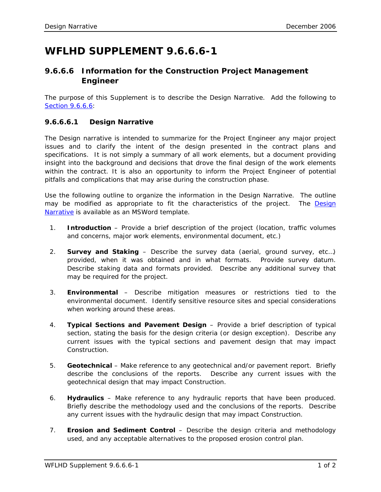## **WFLHD SUPPLEMENT 9.6.6.6-1**

## **9.6.6.6 Information for the Construction Project Management Engineer**

The purpose of this Supplement is to describe the Design Narrative. Add the following to Section [9.6.6.6:](http://flh.fhwa.dot.gov/resources/manuals/pddm/Chapter_09.pdf#9.6.6.6)

## **9.6.6.6.1 Design Narrative**

The Design narrative is intended to summarize for the Project Engineer any major project issues and to clarify the intent of the design presented in the contract plans and specifications. It is not simply a summary of all work elements, but a document providing insight into the background and decisions that drove the final design of the work elements within the contract. It is also an opportunity to inform the Project Engineer of potential pitfalls and complications that may arise during the construction phase.

Use the following outline to organize the information in the Design Narrative. The outline may be modified as appropriate to fit the characteristics of the project. The Design [Narrative](http://www.wfl.fhwa.dot.gov/resources/design/forms/Design-Narrative.doc) is available as an MSWord template.

- 1. **Introduction** Provide a brief description of the project (location, traffic volumes and concerns, major work elements, environmental document, etc.)
- 2. **Survey and Staking** Describe the survey data (aerial, ground survey, etc…) provided, when it was obtained and in what formats. Provide survey datum. Describe staking data and formats provided. Describe any additional survey that may be required for the project.
- 3. **Environmental** Describe mitigation measures or restrictions tied to the environmental document. Identify sensitive resource sites and special considerations when working around these areas.
- 4. **Typical Sections and Pavement Design** Provide a brief description of typical section, stating the basis for the design criteria (or design exception). Describe any current issues with the typical sections and pavement design that may impact Construction.
- 5. **Geotechnical** Make reference to any geotechnical and/or pavement report. Briefly describe the conclusions of the reports. Describe any current issues with the geotechnical design that may impact Construction.
- 6. **Hydraulics** Make reference to any hydraulic reports that have been produced. Briefly describe the methodology used and the conclusions of the reports. Describe any current issues with the hydraulic design that may impact Construction.
- 7. **Erosion and Sediment Control** Describe the design criteria and methodology used, and any acceptable alternatives to the proposed erosion control plan.